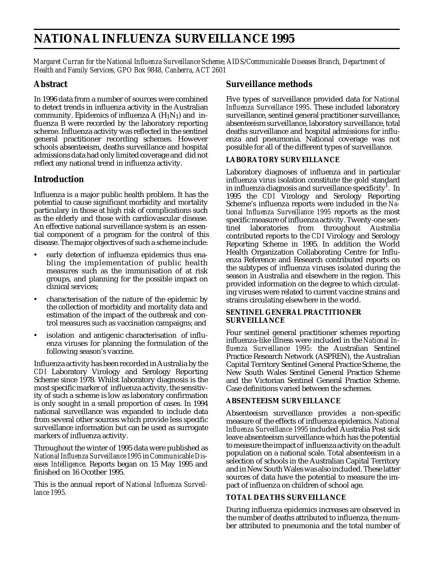# **NATIONAL INFLUENZA SURVEILLANCE 1995**

*Margaret Curran for the National Influenza Surveillance Scheme; AIDS/Communicable Diseases Branch, Department of Health and Family Services, GPO Box 9848, Canberra, ACT 2601*

# **Abstract**

In 1996 data from a number of sources were combined to detect trends in influenza activity in the Australian community. Epidemics of influenza  $A(H_1N_1)$  and influenza B were recorded by the laboratory reporting scheme. Influenza activity was reflected in the sentinel general practitioner recording schemes. However schools absenteeism, deaths surveillance and hospital admissions data had only limited coverage and didnot reflect any national trend in influenza activity.

# **Introduction**

Influenza is a major public health problem. It has the potential to cause significant morbidity and mortality particulary in those at high risk of complications such as the elderly and those with cardiovascular disease. An effective national surveillance system is an essential component of a program for the control of this disease. The major objectives of such a scheme include:

- early detection of influenza epidemics thus enabling the implementation of public health measures such as the immunisation of at risk groups, and planning for the possible impact on clinical services;
- characterisation of the nature of the epidemic by the collection of morbidity and mortality data and estimation of the impact of the outbreak and control measures such as vaccination campaigns; and
- isolation and antigenic characterisation of influenza viruses for planning the formulation of the following season's vaccine.

Influenza activity has been recorded in Australia by the *CDI* Laboratory Virology and Serology Reporting Scheme since 1978. Whilst laboratory diagnosis is the most specific marker of influenza activity, the sensitivity of such a scheme is low as laboratory confirmation is only sought in a small proportion of cases. In 1994 national surveillance was expanded to include data from several other sources which provide less specific surveillance information but can be used as surrogate markers of influenza activity.

Throughout the winter of 1995 data were published as *NationalInfluenza Surveillance 1995* in *Communicable Diseases Intelligence*. Reports began on 15 May 1995 and finished on 16 Ocotber 1995.

This is the annual report of *National Influenza Surveillance 1995.*

# **Surveillance methods**

Five types of surveillance provided data for *National Influenza Surveillance 1995*. These included laboratory surveillance, sentinel general practitioner surveillance, absenteeism surveillance, laboratory surveillance, total deaths surveillance and hospital admissions for influenza and pneumonia. National coverage was not possible for all of the different types of surveillance.

## **LABORATORY SURVEILLANCE**

Laboratory diagnoses of influenza and in particular influenza virus isolation constitute the gold standard in influenza diagnosis and surveillance  $\stackrel{\textstyle\cup}{\textstyle\cup}$  pecificity $^1$ . In 1995 the *CDI* Virology and Serology Reporting Scheme's influenza reports were included in the *National Influenza Surveillance 1995* reports as the most specific measure of influenza activity. Twenty-one sentinel laboratories from throughout Australia contributed reports to the *CDI* Virology and Serology Reporting Scheme in 1995. In addition the World Health Organization Collaborating Centre for Influenza Reference and Research contributed reports on the subtypes of influenza viruses isolated during the season in Australia and elsewhere in the region. This provided information on the degree to which circulating viruses were related to current vaccine strains and strains circulating elsewhere in the world.

#### **SENTINEL GENERAL PRACTITIONER SURVEILLANCE**

Four sentinel general practitioner schemes reporting influenza-like illness were included in the *National Influenza Surveillance 1995*: the Australian Sentinel Practice Research Network (ASPREN), the Australian Capital Territory Sentinel General Practice Scheme, the New South Wales Sentinel General Practice Scheme and the Victorian Sentinel General Practice Scheme. Case definitions varied between the schemes.

## **ABSENTEEISM SURVEILLANCE**

Absenteeism surveillance provides a non-specific measure of the effects of influenza epidemics. *National Influenza Surveillance 1995* included Australia Post sick leave absenteeism surveillance which has the potential to measure the impact of influenza activity on the adult population on a national scale. Total absenteeism in a selection of schools in the Australian Capital Territory and in New South Wales was also included. These latter sources of data have the potential to measure the impact of influenza on children of school age.

## **TOTAL DEATHS SURVEILLANCE**

During influenza epidemics increases are observed in the number of deaths attributed to influenza, the number attributed to pneumonia and the total number of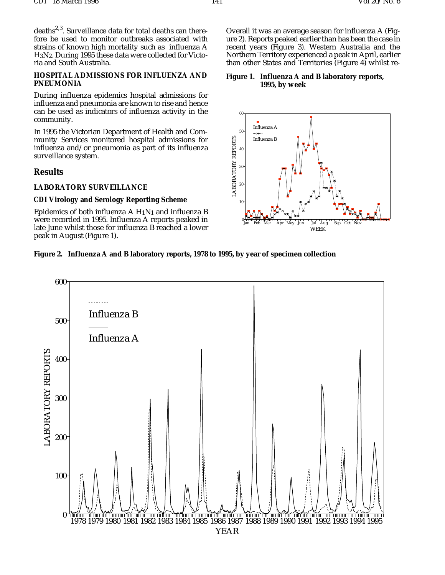deaths<sup>2,3</sup>. Surveillance data for total deaths can therefore be used to monitor outbreaks associated with strains of known high mortality such as influenza A H3N2. During 1995 these data were collected for Victoria and South Australia.

#### **HOSPITAL ADMISSIONS FOR INFLUENZA AND PNEUMONIA**

During influenza epidemics hospital admissions for influenza and pneumonia are known to rise and hence can be used as indicators of influenza activity in the community.

In 1995 the Victorian Department of Health and Community Services monitored hospital admissions for influenza and/or pneumonia as part of its influenza surveillance system.

### **Results**

#### **LABORATORY SURVEILLANCE**

#### *CDI* **Virology and Serology Reporting Scheme**

Epidemics of both influenza A  $H_1N_1$  and influenza B were recorded in 1995. Influenza A reports peaked in late June whilst those for influenza B reached a lower peak in August (Figure 1).

Overall it was an average season for influenza A (Figure 2). Reports peaked earlier than has been the case in recent years (Figure 3). Western Australia and the Northern Territory experienced a peak in April, earlier than other States and Territories (Figure 4) whilst re-

#### **Figure 1. Influenza A and B laboratory reports, 1995, by week**



#### **Figure 2. Influenza A and B laboratory reports, 1978 to 1995, by year of specimen collection**

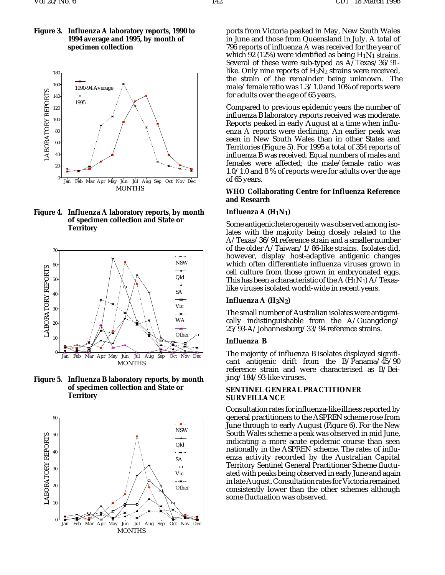

**Figure 4. Influenza A laboratory reports, by month of specimen collection and State or Territory**



**Figure 5. Influenza B laboratory reports, by month of specimen collection and State or Territory**



ports from Victoria peaked in May, New South Wales in June and those from Queensland in July. A total of 796 reports of influenza A was received for the year of which 92 (12%) were identified as being  $H_1N_1$  strains. Several of these were sub-typed as A/Texas/36/91 like. Only nine reports of  $H_3N_2$  strains were received, the strain of the remainder being unknown. The male/female ratio was 1.3/1.0 and 10% of reports were for adults over the age of 65 years.

Compared to previous epidemic years the number of influenza B laboratory reports received was moderate. Reports peaked in early August at a time when influenza A reports were declining. An earlier peak was seen in New South Wales than in other States and Territories (Figure 5). For 1995 a total of 354 reports of influenza B was received. Equal numbers of males and females were affected; the male/female ratio was 1.0/1.0 and 8 % of reports were for adults over the age of 65 years.

#### **WHO Collaborating Centre for Influenza Reference and Research**

#### **Influenza A (H1N1)**

Some antigenic heterogeneity was observed among isolates with the majority being closely related to the A/Texas/36/91 reference strain and a smaller number of the older A/Taiwan/1/86-like strains. Isolates did, however, display host-adaptive antigenic changes which often differentiate influenza viruses grown in cell culture from those grown in embryonated eggs. This has been a characteristic of the A  $(H_1N_1)$  A/Texaslike viruses isolated world-wide in recent years.

#### **Influenza A (H3N2)**

The small number of Australian isolates were antigenically indistinguishable from the A/Guangdong/ 25/93-A/Johannesburg/33/94 reference strains.

#### **Influenza B**

The majority of influenza B isolates displayed significant antigenic drift from the B/Panama/45/90 reference strain and were characterised as B/Beijing/184/93-like viruses.

#### **SENTINEL GENERAL PRACTITIONER SURVEILLANCE**

Consultation rates for influenza-like illness reported by general practitioners to the ASPREN scheme rose from June through to early August (Figure 6). For the New South Wales scheme a peak was observed in mid June, indicating a more acute epidemic course than seen nationally in the ASPREN scheme. The rates of influenza activity recorded by the Australian Capital Territory Sentinel General Practitioner Scheme fluctuated with peaks being observed in early June and again in late August. Consultation rates for Victoria remained consistently lower than the other schemes although some fluctuation was observed.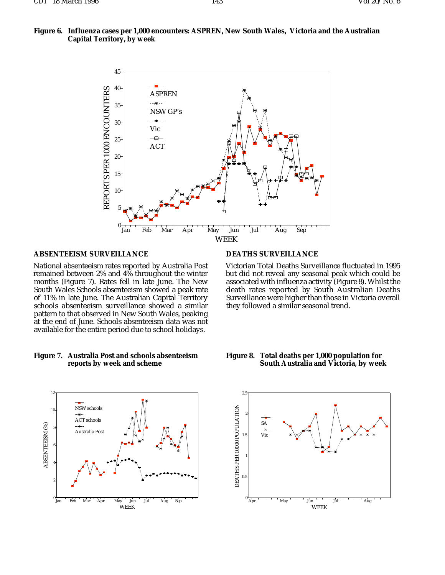



#### **ABSENTEEISM SURVEILLANCE**

National absenteeism rates reported by Australia Post remained between 2% and 4% throughout the winter months (Figure 7). Rates fell in late June. The New South Wales Schools absenteeism showed a peak rate of 11% in late June. The Australian Capital Territory schools absenteeism surveillance showed a similar pattern to that observed in New South Wales, peaking at the end of June. Schools absenteeism data was not available for the entire period due to school holidays.

#### **Figure 7. Australia Post and schools absenteeism reports by week and scheme**



#### **DEATHS SURVEILLANCE**

Victorian Total Deaths Surveillance fluctuated in 1995 but did not reveal any seasonal peak which could be associated with influenza activity (Figure 8). Whilst the death rates reported by South Australian Deaths Surveillance were higher than those in Victoria overall they followed a similar seasonal trend.



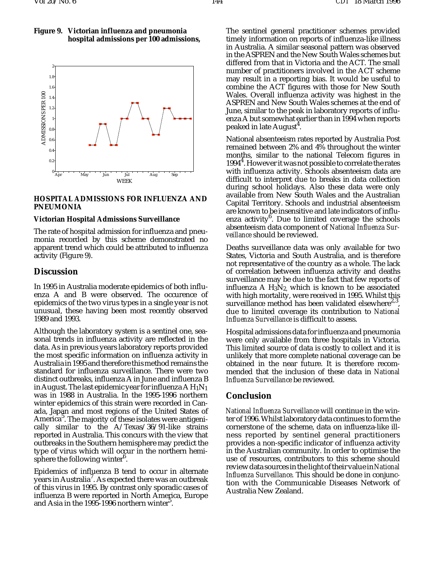### **Figure 9. Victorian influenza and pneumonia hospital admissions per 100 admissions,**



### **HOSPITAL ADMISSIONS FOR INFLUENZA AND PNEUMONIA**

# **Victorian Hospital Admissions Surveillance**

The rate of hospital admission for influenza and pneumonia recorded by this scheme demonstrated no apparent trend which could be attributed to influenza activity (Figure 9).

## **Discussion**

In 1995 in Australia moderate epidemics of both influenza A and B were observed. The occurence of epidemics of the two virus types in a single year is not unusual, these having been most recently observed 1989 and 1993.

Although the laboratory system is a sentinel one, seasonal trends in influenza activity are reflected in the data. As in previous years laboratory reports provided the most specific information on influenza activity in Australia in 1995 and therefore this method remains the standard for influenza surveillance. There were two distinct outbreaks, influenza A in June and influenza B in August. The last epidemic year for influenza  $AH<sub>1</sub>N<sub>1</sub>$ was in 1988 in Australia. In the 1995-1996 northern winter epidemics of this strain were recorded in Canada, Japan and most regions of the United States of America<sup>5</sup>. The majority of these isolates were antigenically similar to the A/Texas/36/91-like strains reported in Australia. This concurs with the view that outbreaks in the Southern hemisphere may predict the type of virus which will occur in the northern hemisphere the following winter $^6$ .

Epidemics of influenza B tend to occur in alternate  $\rm{y}^{\rm{t}}$ ears in Australia $^7$ . As expected there was an outbreak of this virus in 1995. By contrast only sporadic cases of influenza B were reported in North America, Europe and Asia in the 1995-1996 northern winter<sup>5</sup>.

The sentinel general practitioner schemes provided timely information on reports of influenza-like illness in Australia. A similar seasonal pattern was observed in the ASPREN and the New South Wales schemes but differed from that in Victoria and the ACT. The small number of practitioners involved in the ACT scheme may result in a reporting bias. It would be useful to combine the ACT figures with those for New South Wales. Overall influenza activity was highest in the ASPREN and New South Wales schemes at the end of June, similar to the peak in laboratory reports of influenza A but somewhat earlier than in 1994 when reports peaked in late August<sup>4</sup>.

National absenteeism rates reported by Australia Post remained between 2% and 4% throughout the winter months, similar to the national Telecom figures in 1994<sup>4</sup>. However it was not possible to correlate the rates with influenza activity. Schools absenteeism data are difficult to interpret due to breaks in data collection during school holidays. Also these data were only available from New South Wales and the Australian Capital Territory. Schools and industrial absenteeism are known to be insensitive and late indicators of influ-<br>enza activity<sup>6</sup>. Due to limited coverage the schools absenteeism data component of *National Influenza Surveillance* should be reviewed.

Deaths surveillance data was only available for two States, Victoria and South Australia, and is therefore not representative of the country as a whole. The lack of correlation between influenza activity and deaths surveillance may be due to the fact that few reports of influenza A  $H_3N_2$ , which is known to be associated with high mortality, were received in 1995. Whilst this surveillance method has been validated elsewhere<sup>2,3</sup>, due to limited coverage its contribution to *National Influenza Surveillance* is difficult to assess.

Hospital admissions data for influenza and pneumonia were only available from three hospitals in Victoria. This limited source of data is costly to collect and it is unlikely that more complete national coverage can be obtained in the near future. It is therefore recommended that the inclusion of these data in *National Influenza Surveillance* be reviewed.

# **Conclusion**

*National Influenza Surveillance* will continue in the winter of 1996. Whilst laboratory data continues to form the cornerstone of the scheme, data on influenza-like illness reported by sentinel general practitioners provides a non-specific indicator of influenza activity in the Australian community. In order to optimise the use of resources, contributors to this scheme should review data sources in the light of their value in *National Influenza Surveillance*. This should be done in conjunction with the Communicable Diseases Network of Australia New Zealand.